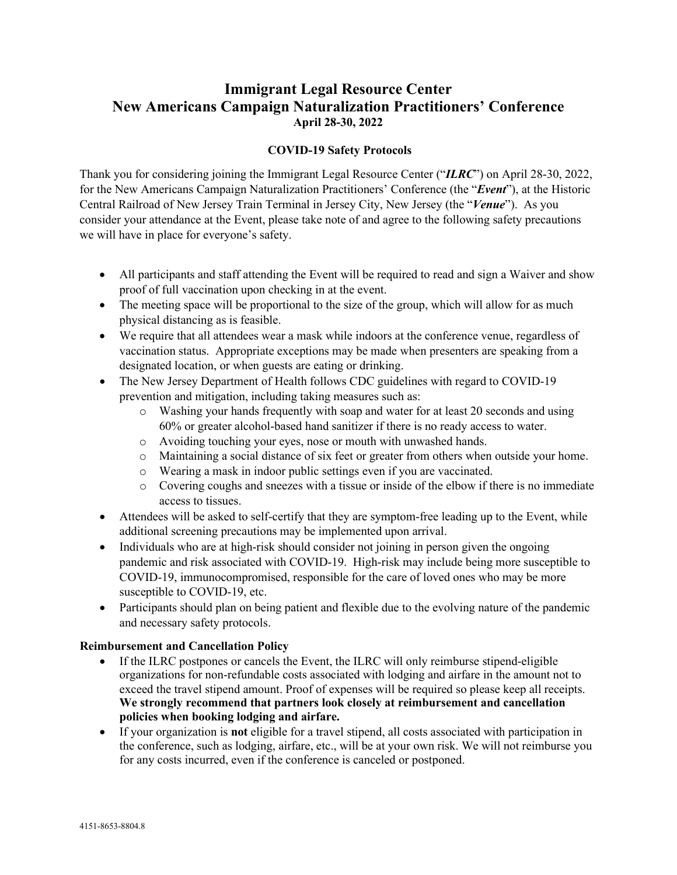## **Immigrant Legal Resource Center New Americans Campaign Naturalization Practitioners' Conference April 28-30, 2022**

## **COVID-19 Safety Protocols**

Thank you for considering joining the Immigrant Legal Resource Center ("*ILRC*") on April 28-30, 2022, for the New Americans Campaign Naturalization Practitioners' Conference (the "*Event*"), at the Historic Central Railroad of New Jersey Train Terminal in Jersey City, New Jersey (the "*Venue*"). As you consider your attendance at the Event, please take note of and agree to the following safety precautions we will have in place for everyone's safety.

- All participants and staff attending the Event will be required to read and sign a Waiver and show proof of full vaccination upon checking in at the event.
- The meeting space will be proportional to the size of the group, which will allow for as much physical distancing as is feasible.
- We require that all attendees wear a mask while indoors at the conference venue, regardless of vaccination status. Appropriate exceptions may be made when presenters are speaking from a designated location, or when guests are eating or drinking.
- The New Jersey Department of Health follows CDC guidelines with regard to COVID-19 prevention and mitigation, including taking measures such as:
	- o Washing your hands frequently with soap and water for at least 20 seconds and using 60% or greater alcohol-based hand sanitizer if there is no ready access to water.
	- o Avoiding touching your eyes, nose or mouth with unwashed hands.
	- o Maintaining a social distance of six feet or greater from others when outside your home.
	- o Wearing a mask in indoor public settings even if you are vaccinated.
	- o Covering coughs and sneezes with a tissue or inside of the elbow if there is no immediate access to tissues.
- Attendees will be asked to self-certify that they are symptom-free leading up to the Event, while additional screening precautions may be implemented upon arrival.
- Individuals who are at high-risk should consider not joining in person given the ongoing pandemic and risk associated with COVID-19. High-risk may include being more susceptible to COVID-19, immunocompromised, responsible for the care of loved ones who may be more susceptible to COVID-19, etc.
- Participants should plan on being patient and flexible due to the evolving nature of the pandemic and necessary safety protocols.

## **Reimbursement and Cancellation Policy**

- If the ILRC postpones or cancels the Event, the ILRC will only reimburse stipend-eligible organizations for non-refundable costs associated with lodging and airfare in the amount not to exceed the travel stipend amount. Proof of expenses will be required so please keep all receipts. **We strongly recommend that partners look closely at reimbursement and cancellation policies when booking lodging and airfare.**
- If your organization is **not** eligible for a travel stipend, all costs associated with participation in the conference, such as lodging, airfare, etc., will be at your own risk. We will not reimburse you for any costs incurred, even if the conference is canceled or postponed.